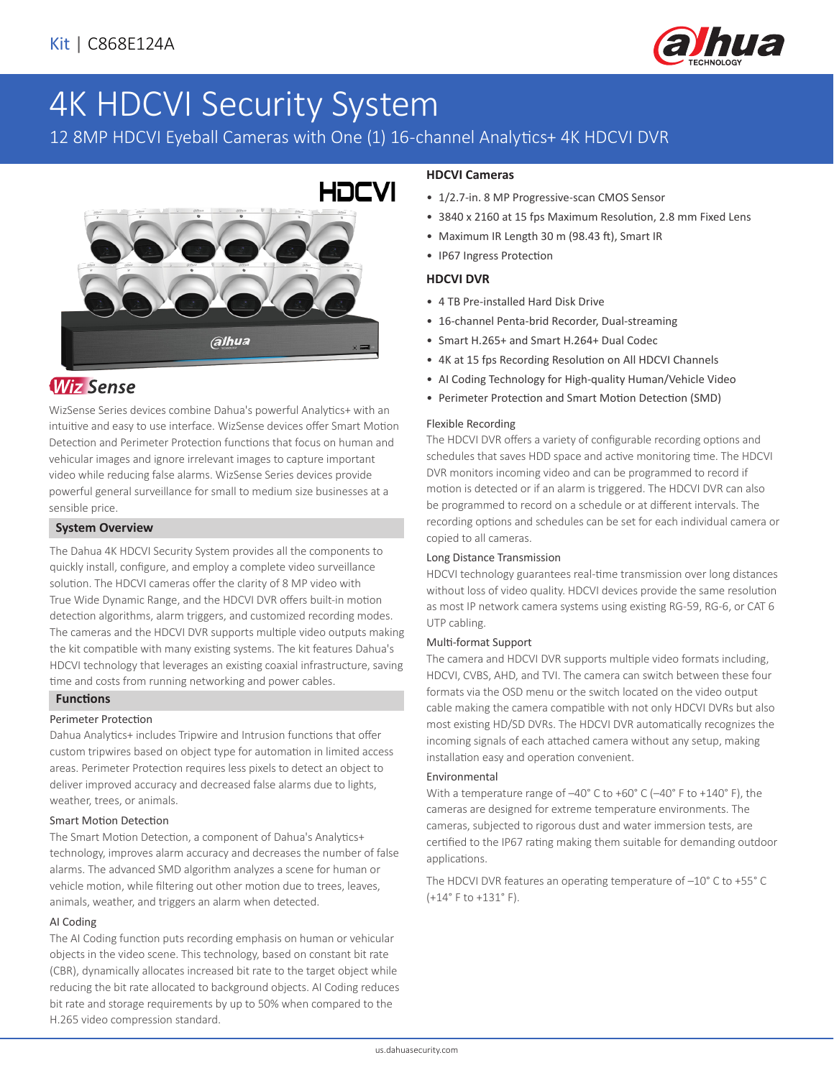

# 4K HDCVI Security System

# 12 8MP HDCVI Eyeball Cameras with One (1) 16-channel Analytics+ 4K HDCVI DVR



# **Wiz Sense**

WizSense Series devices combine Dahua's powerful Analytics+ with an intuitive and easy to use interface. WizSense devices offer Smart Motion Detection and Perimeter Protection functions that focus on human and vehicular images and ignore irrelevant images to capture important video while reducing false alarms. WizSense Series devices provide powerful general surveillance for small to medium size businesses at a sensible price.

#### **System Overview**

The Dahua 4K HDCVI Security System provides all the components to quickly install, configure, and employ a complete video surveillance solution. The HDCVI cameras offer the clarity of 8 MP video with True Wide Dynamic Range, and the HDCVI DVR offers built-in motion detection algorithms, alarm triggers, and customized recording modes. The cameras and the HDCVI DVR supports multiple video outputs making the kit compatible with many existing systems. The kit features Dahua's HDCVI technology that leverages an existing coaxial infrastructure, saving time and costs from running networking and power cables.

# **Functions**

#### Perimeter Protection

Dahua Analytics+ includes Tripwire and Intrusion functions that offer custom tripwires based on object type for automation in limited access areas. Perimeter Protection requires less pixels to detect an object to deliver improved accuracy and decreased false alarms due to lights, weather, trees, or animals.

#### Smart Motion Detection

The Smart Motion Detection, a component of Dahua's Analytics+ technology, improves alarm accuracy and decreases the number of false alarms. The advanced SMD algorithm analyzes a scene for human or vehicle motion, while filtering out other motion due to trees, leaves, animals, weather, and triggers an alarm when detected.

#### AI Coding

The AI Coding function puts recording emphasis on human or vehicular objects in the video scene. This technology, based on constant bit rate (CBR), dynamically allocates increased bit rate to the target object while reducing the bit rate allocated to background objects. AI Coding reduces bit rate and storage requirements by up to 50% when compared to the H.265 video compression standard.

# **HDCVI Cameras**

- 1/2.7-in. 8 MP Progressive-scan CMOS Sensor
- 3840 x 2160 at 15 fps Maximum Resolution, 2.8 mm Fixed Lens
- Maximum IR Length 30 m (98.43 ft), Smart IR
- IP67 Ingress Protection

## **HDCVI DVR**

- 4 TB Pre-installed Hard Disk Drive
- 16-channel Penta-brid Recorder, Dual-streaming
- Smart H.265+ and Smart H.264+ Dual Codec
- 4K at 15 fps Recording Resolution on All HDCVI Channels
- AI Coding Technology for High-quality Human/Vehicle Video
- Perimeter Protection and Smart Motion Detection (SMD)

#### Flexible Recording

The HDCVI DVR offers a variety of configurable recording options and schedules that saves HDD space and active monitoring time. The HDCVI DVR monitors incoming video and can be programmed to record if motion is detected or if an alarm is triggered. The HDCVI DVR can also be programmed to record on a schedule or at different intervals. The recording options and schedules can be set for each individual camera or copied to all cameras.

#### Long Distance Transmission

HDCVI technology guarantees real-time transmission over long distances without loss of video quality. HDCVI devices provide the same resolution as most IP network camera systems using existing RG-59, RG-6, or CAT 6 UTP cabling.

#### Multi-format Support

The camera and HDCVI DVR supports multiple video formats including, HDCVI, CVBS, AHD, and TVI. The camera can switch between these four formats via the OSD menu or the switch located on the video output cable making the camera compatible with not only HDCVI DVRs but also most existing HD/SD DVRs. The HDCVI DVR automatically recognizes the incoming signals of each attached camera without any setup, making installation easy and operation convenient.

#### Environmental

With a temperature range of –40° C to +60° C (–40° F to +140° F), the cameras are designed for extreme temperature environments. The cameras, subjected to rigorous dust and water immersion tests, are certified to the IP67 rating making them suitable for demanding outdoor applications.

The HDCVI DVR features an operating temperature of –10° C to +55° C (+14° F to +131° F).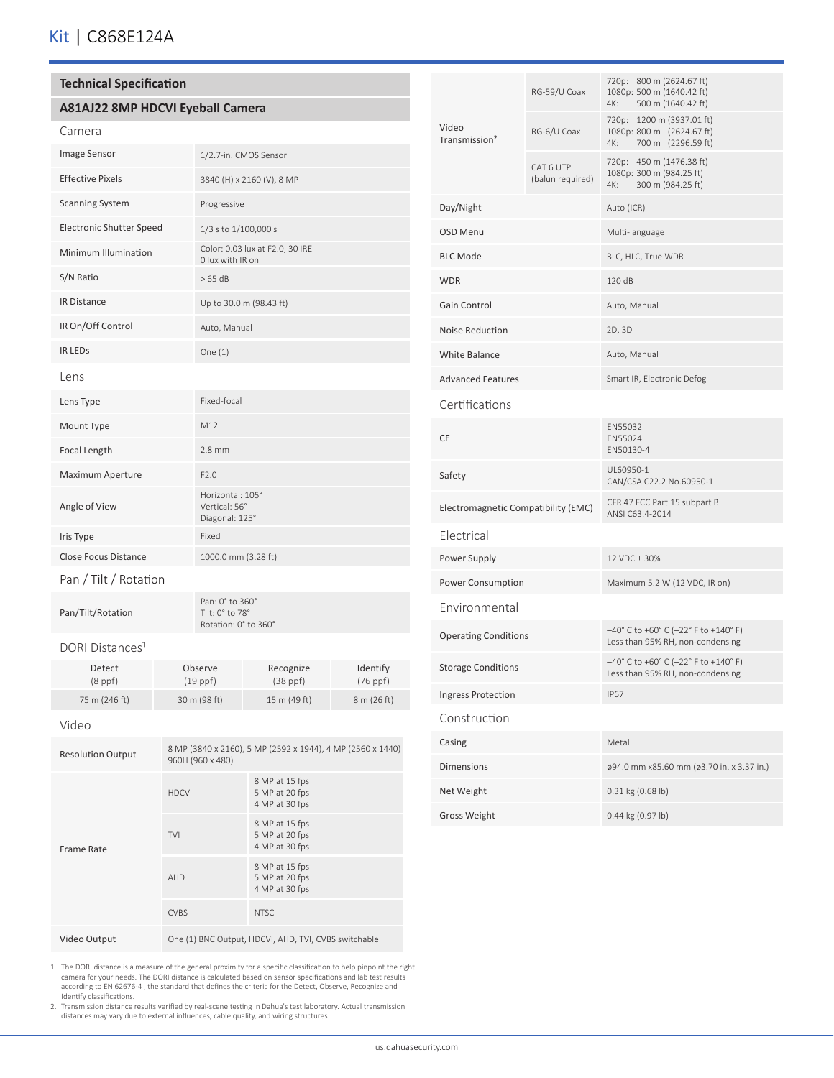#### **Technical Specification**

## **A81AJ22 8MP HDCVI Eyeball Camera**

|--|

| <b>Image Sensor</b>             | 1/2.7-in. CMOS Sensor                               |
|---------------------------------|-----------------------------------------------------|
| <b>Effective Pixels</b>         | 3840 (H) x 2160 (V), 8 MP                           |
| <b>Scanning System</b>          | Progressive                                         |
| <b>Electronic Shutter Speed</b> | 1/3 s to 1/100,000 s                                |
| Minimum Illumination            | Color: 0.03 lux at F2.0, 30 IRE<br>0 lux with IR on |
| S/N Ratio                       | >65 dB                                              |
| <b>IR Distance</b>              | Up to 30.0 m (98.43 ft)                             |
| IR On/Off Control               | Auto, Manual                                        |
| <b>IR LEDS</b>                  | One $(1)$                                           |
| Lens                            |                                                     |
| Lens Type                       | Fixed-focal                                         |
| Mount Type                      | M12                                                 |
| Focal Length                    | $2.8$ mm                                            |
| Maximum Aperture                | F2.0                                                |
| Angle of View                   | Horizontal: 105°<br>Vertical: 56°<br>Diagonal: 125° |
| Iris Type                       | Fixed                                               |
| Close Focus Distance            | 1000.0 mm (3.28 ft)                                 |
| Pan / Tilt / Rotation           |                                                     |

Pan/Tilt/Rotation

Pan: 0° to 360° Tilt: 0° to 78° Rotation: 0° to 360°

#### DORI Distances<sup>1</sup>

| Detect        | Observe      | Recognize          | Identify    |
|---------------|--------------|--------------------|-------------|
| $(8$ ppf $)$  | $(19$ ppf)   | $(38 \text{ ppf})$ | $(76$ ppf)  |
| 75 m (246 ft) | 30 m (98 ft) | 15 m (49 ft)       | 8 m (26 ft) |

#### Video

| <b>Resolution Output</b> | 8 MP (3840 x 2160), 5 MP (2592 x 1944), 4 MP (2560 x 1440)<br>960H (960 x 480) |                                                    |  |  |
|--------------------------|--------------------------------------------------------------------------------|----------------------------------------------------|--|--|
| Frame Rate               | <b>HDCVI</b>                                                                   | 8 MP at 15 fps<br>5 MP at 20 fps<br>4 MP at 30 fps |  |  |
|                          | <b>TVI</b>                                                                     | 8 MP at 15 fps<br>5 MP at 20 fps<br>4 MP at 30 fps |  |  |
|                          | AHD                                                                            | 8 MP at 15 fps<br>5 MP at 20 fps<br>4 MP at 30 fps |  |  |
|                          | <b>CVBS</b>                                                                    | <b>NTSC</b>                                        |  |  |
| Video Output             | One (1) BNC Output, HDCVI, AHD, TVI, CVBS switchable                           |                                                    |  |  |

1. The DORI distance is a measure of the general proximity for a specific classification to help pinpoint the right camera for your needs. The DORI distance is calculated based on sensor specifications and lab test results according to EN 62676-4, the standard that defines the criteria for the Detect, Observe, Recognize and Identify cla

| Video<br>Transmission <sup>2</sup>  | RG-59/U Coax                  | 720p: 800 m (2624.67 ft)<br>1080p: 500 m (1640.42 ft)<br>500 m (1640.42 ft)<br>4K:  |  |  |  |
|-------------------------------------|-------------------------------|-------------------------------------------------------------------------------------|--|--|--|
|                                     | RG-6/U Coax                   | 720p: 1200 m (3937.01 ft)<br>1080p: 800 m (2624.67 ft)<br>4K:<br>700 m (2296.59 ft) |  |  |  |
|                                     | CAT 6 UTP<br>(balun required) | 720p: 450 m (1476.38 ft)<br>1080p: 300 m (984.25 ft)<br>4K:<br>300 m (984.25 ft)    |  |  |  |
| Day/Night                           |                               | Auto (ICR)                                                                          |  |  |  |
| <b>OSD Menu</b>                     |                               | Multi-language                                                                      |  |  |  |
| <b>BLC Mode</b>                     |                               | BLC, HLC, True WDR                                                                  |  |  |  |
| <b>WDR</b>                          |                               | 120 dB                                                                              |  |  |  |
| Gain Control                        |                               | Auto, Manual                                                                        |  |  |  |
| <b>Noise Reduction</b>              |                               | 2D, 3D                                                                              |  |  |  |
| <b>White Balance</b>                |                               | Auto, Manual                                                                        |  |  |  |
| <b>Advanced Features</b>            |                               | Smart IR, Electronic Defog                                                          |  |  |  |
| Certifications                      |                               |                                                                                     |  |  |  |
| CE                                  |                               | EN55032<br>EN55024<br>EN50130-4                                                     |  |  |  |
| Safety                              |                               | UL60950-1<br>CAN/CSA C22.2 No.60950-1                                               |  |  |  |
| Electromagnetic Compatibility (EMC) |                               | CFR 47 FCC Part 15 subpart B<br>ANSI C63.4-2014                                     |  |  |  |
| Electrical                          |                               |                                                                                     |  |  |  |
| Power Supply                        |                               | 12 VDC ± 30%                                                                        |  |  |  |
| Power Consumption                   |                               | Maximum 5.2 W (12 VDC, IR on)                                                       |  |  |  |
| Environmental                       |                               |                                                                                     |  |  |  |
| <b>Operating Conditions</b>         |                               | $-40^{\circ}$ C to +60° C (-22° F to +140° F)<br>Less than 95% RH, non-condensing   |  |  |  |
| <b>Storage Conditions</b>           |                               | $-40^{\circ}$ C to +60° C (-22° F to +140° F)<br>Less than 95% RH, non-condensing   |  |  |  |
| <b>Ingress Protection</b>           |                               | <b>IP67</b>                                                                         |  |  |  |
| Construction                        |                               |                                                                                     |  |  |  |
| Casing                              |                               | Metal                                                                               |  |  |  |
| <b>Dimensions</b>                   |                               | ø94.0 mm x85.60 mm (ø3.70 in. x 3.37 in.)                                           |  |  |  |
| Net Weight                          |                               | 0.31 kg (0.68 lb)                                                                   |  |  |  |
| <b>Gross Weight</b>                 |                               | 0.44 kg (0.97 lb)                                                                   |  |  |  |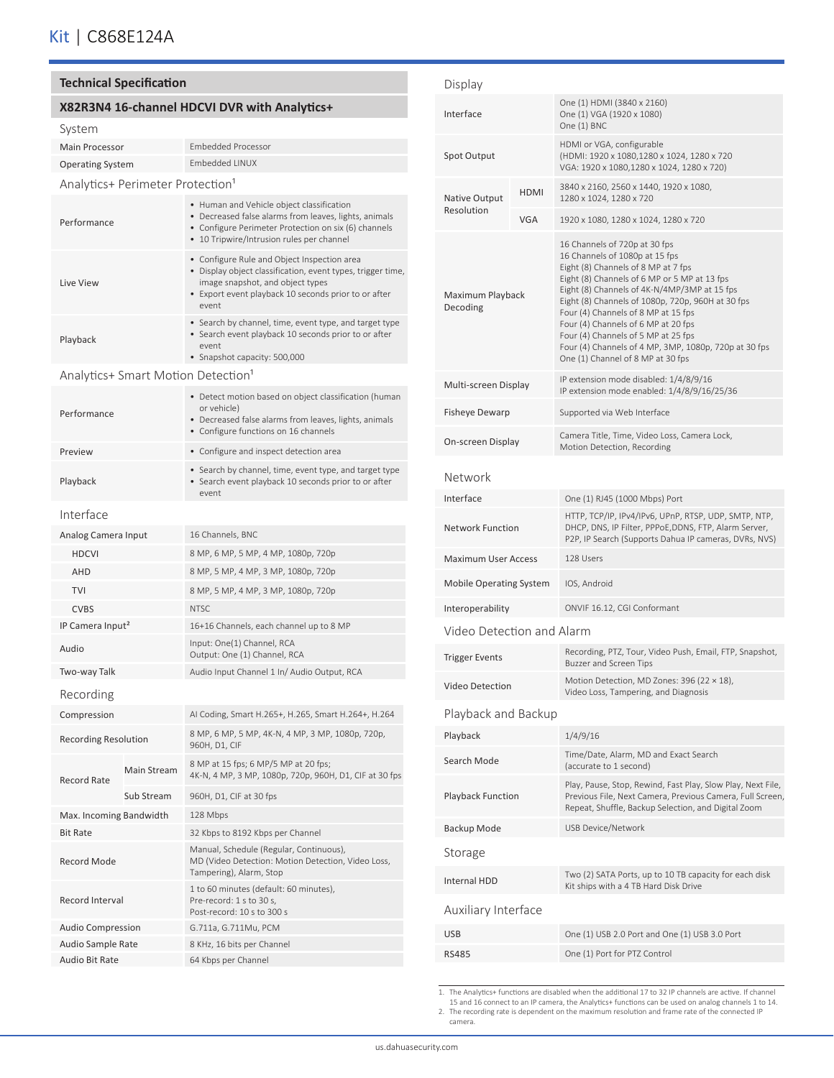# **Technical Specification**

# **X82R3N4 16-channel HDCVI DVR with Analytics+**

#### System

Operating System Embedded LINUX Analytics+ Perimeter Protection<sup>1</sup>

Main Processor Embedded Processor

| Performance                  |             | • Human and Vehicle object classification<br>• Decreased false alarms from leaves, lights, animals<br>• Configure Perimeter Protection on six (6) channels<br>• 10 Tripwire/Intrusion rules per channel         |  |  |  |
|------------------------------|-------------|-----------------------------------------------------------------------------------------------------------------------------------------------------------------------------------------------------------------|--|--|--|
| Live View                    |             | • Configure Rule and Object Inspection area<br>• Display object classification, event types, trigger time,<br>image snapshot, and object types<br>• Export event playback 10 seconds prior to or after<br>event |  |  |  |
| Playback                     |             | • Search by channel, time, event type, and target type<br>• Search event playback 10 seconds prior to or after<br>event<br>• Snapshot capacity: 500,000                                                         |  |  |  |
|                              |             | Analytics+ Smart Motion Detection <sup>1</sup>                                                                                                                                                                  |  |  |  |
| Performance                  |             | • Detect motion based on object classification (human<br>or vehicle)<br>• Decreased false alarms from leaves, lights, animals<br>• Configure functions on 16 channels                                           |  |  |  |
| Preview                      |             | • Configure and inspect detection area                                                                                                                                                                          |  |  |  |
| Playback                     |             | • Search by channel, time, event type, and target type<br>• Search event playback 10 seconds prior to or after<br>event                                                                                         |  |  |  |
| Interface                    |             |                                                                                                                                                                                                                 |  |  |  |
| Analog Camera Input          |             | 16 Channels, BNC                                                                                                                                                                                                |  |  |  |
| <b>HDCVI</b>                 |             | 8 MP, 6 MP, 5 MP, 4 MP, 1080p, 720p                                                                                                                                                                             |  |  |  |
| <b>AHD</b>                   |             | 8 MP, 5 MP, 4 MP, 3 MP, 1080p, 720p                                                                                                                                                                             |  |  |  |
| <b>TVI</b>                   |             | 8 MP, 5 MP, 4 MP, 3 MP, 1080p, 720p                                                                                                                                                                             |  |  |  |
| <b>CVBS</b>                  |             | <b>NTSC</b>                                                                                                                                                                                                     |  |  |  |
| IP Camera Input <sup>2</sup> |             | 16+16 Channels, each channel up to 8 MP                                                                                                                                                                         |  |  |  |
| Audio                        |             | Input: One(1) Channel, RCA<br>Output: One (1) Channel, RCA                                                                                                                                                      |  |  |  |
| Two-way Talk                 |             | Audio Input Channel 1 In/ Audio Output, RCA                                                                                                                                                                     |  |  |  |
| Recording                    |             |                                                                                                                                                                                                                 |  |  |  |
| Compression                  |             | AI Coding, Smart H.265+, H.265, Smart H.264+, H.264                                                                                                                                                             |  |  |  |
| <b>Recording Resolution</b>  |             | 8 MP, 6 MP, 5 MP, 4K-N, 4 MP, 3 MP, 1080p, 720p,<br>960H, D1, CIF                                                                                                                                               |  |  |  |
| <b>Record Rate</b>           | Main Stream | 8 MP at 15 fps; 6 MP/5 MP at 20 fps;<br>4K-N, 4 MP, 3 MP, 1080p, 720p, 960H, D1, CIF at 30 fps                                                                                                                  |  |  |  |
|                              | Sub Stream  | 960H, D1, CIF at 30 fps                                                                                                                                                                                         |  |  |  |
| Max. Incoming Bandwidth      |             | 128 Mbps                                                                                                                                                                                                        |  |  |  |
| <b>Bit Rate</b>              |             | 32 Kbps to 8192 Kbps per Channel                                                                                                                                                                                |  |  |  |
| Record Mode                  |             | Manual, Schedule (Regular, Continuous),<br>MD (Video Detection: Motion Detection, Video Loss,<br>Tampering), Alarm, Stop                                                                                        |  |  |  |
| Record Interval              |             | 1 to 60 minutes (default: 60 minutes),<br>Pre-record: 1 s to 30 s,<br>Post-record: 10 s to 300 s                                                                                                                |  |  |  |
| <b>Audio Compression</b>     |             | G.711a, G.711Mu, PCM                                                                                                                                                                                            |  |  |  |
| Audio Sample Rate            |             | 8 KHz, 16 bits per Channel                                                                                                                                                                                      |  |  |  |
| Audio Bit Rate               |             | 64 Kbps per Channel                                                                                                                                                                                             |  |  |  |

| Display                        |             |                                                                                                                                                                                                                                                                                                                                                                                                                                                                                |  |  |  |
|--------------------------------|-------------|--------------------------------------------------------------------------------------------------------------------------------------------------------------------------------------------------------------------------------------------------------------------------------------------------------------------------------------------------------------------------------------------------------------------------------------------------------------------------------|--|--|--|
| Interface                      |             | One (1) HDMI (3840 x 2160)<br>One (1) VGA (1920 x 1080)<br>One (1) BNC                                                                                                                                                                                                                                                                                                                                                                                                         |  |  |  |
| Spot Output                    |             | HDMI or VGA, configurable<br>(HDMI: 1920 x 1080,1280 x 1024, 1280 x 720<br>VGA: 1920 x 1080,1280 x 1024, 1280 x 720)                                                                                                                                                                                                                                                                                                                                                           |  |  |  |
| <b>Native Output</b>           | <b>HDMI</b> | 3840 x 2160, 2560 x 1440, 1920 x 1080,<br>1280 x 1024, 1280 x 720                                                                                                                                                                                                                                                                                                                                                                                                              |  |  |  |
| Resolution                     | <b>VGA</b>  | 1920 x 1080, 1280 x 1024, 1280 x 720                                                                                                                                                                                                                                                                                                                                                                                                                                           |  |  |  |
| Maximum Playback<br>Decoding   |             | 16 Channels of 720p at 30 fps<br>16 Channels of 1080p at 15 fps<br>Eight (8) Channels of 8 MP at 7 fps<br>Eight (8) Channels of 6 MP or 5 MP at 13 fps<br>Eight (8) Channels of 4K-N/4MP/3MP at 15 fps<br>Eight (8) Channels of 1080p, 720p, 960H at 30 fps<br>Four (4) Channels of 8 MP at 15 fps<br>Four (4) Channels of 6 MP at 20 fps<br>Four (4) Channels of 5 MP at 25 fps<br>Four (4) Channels of 4 MP, 3MP, 1080p, 720p at 30 fps<br>One (1) Channel of 8 MP at 30 fps |  |  |  |
| Multi-screen Display           |             | IP extension mode disabled: 1/4/8/9/16<br>IP extension mode enabled: 1/4/8/9/16/25/36                                                                                                                                                                                                                                                                                                                                                                                          |  |  |  |
| Fisheye Dewarp                 |             | Supported via Web Interface                                                                                                                                                                                                                                                                                                                                                                                                                                                    |  |  |  |
| On-screen Display              |             | Camera Title, Time, Video Loss, Camera Lock,<br>Motion Detection, Recording                                                                                                                                                                                                                                                                                                                                                                                                    |  |  |  |
| Network                        |             |                                                                                                                                                                                                                                                                                                                                                                                                                                                                                |  |  |  |
| Interface                      |             | One (1) RJ45 (1000 Mbps) Port                                                                                                                                                                                                                                                                                                                                                                                                                                                  |  |  |  |
| <b>Network Function</b>        |             | HTTP, TCP/IP, IPv4/IPv6, UPnP, RTSP, UDP, SMTP, NTP,<br>DHCP, DNS, IP Filter, PPPoE, DDNS, FTP, Alarm Server,<br>P2P, IP Search (Supports Dahua IP cameras, DVRs, NVS)                                                                                                                                                                                                                                                                                                         |  |  |  |
| <b>Maximum User Access</b>     |             | 128 Users                                                                                                                                                                                                                                                                                                                                                                                                                                                                      |  |  |  |
| <b>Mobile Operating System</b> |             | IOS, Android                                                                                                                                                                                                                                                                                                                                                                                                                                                                   |  |  |  |
| Interoperability               |             | ONVIF 16.12, CGI Conformant                                                                                                                                                                                                                                                                                                                                                                                                                                                    |  |  |  |
| Video Detection and Alarm      |             |                                                                                                                                                                                                                                                                                                                                                                                                                                                                                |  |  |  |
| <b>Trigger Events</b>          |             | Recording, PTZ, Tour, Video Push, Email, FTP, Snapshot,<br><b>Buzzer and Screen Tips</b>                                                                                                                                                                                                                                                                                                                                                                                       |  |  |  |
| Video Detection                |             | Motion Detection, MD Zones: 396 (22 × 18),<br>Video Loss, Tampering, and Diagnosis                                                                                                                                                                                                                                                                                                                                                                                             |  |  |  |
| Playback and Backup            |             |                                                                                                                                                                                                                                                                                                                                                                                                                                                                                |  |  |  |
| Playback                       |             | 1/4/9/16                                                                                                                                                                                                                                                                                                                                                                                                                                                                       |  |  |  |
| Search Mode                    |             | Time/Date, Alarm, MD and Exact Search<br>(accurate to 1 second)                                                                                                                                                                                                                                                                                                                                                                                                                |  |  |  |
| <b>Playback Function</b>       |             | Play, Pause, Stop, Rewind, Fast Play, Slow Play, Next File,<br>Previous File, Next Camera, Previous Camera, Full Screen,<br>Repeat, Shuffle, Backup Selection, and Digital Zoom                                                                                                                                                                                                                                                                                                |  |  |  |
| Backup Mode                    |             | USB Device/Network                                                                                                                                                                                                                                                                                                                                                                                                                                                             |  |  |  |
| Storage                        |             |                                                                                                                                                                                                                                                                                                                                                                                                                                                                                |  |  |  |
| Internal HDD                   |             | Two (2) SATA Ports, up to 10 TB capacity for each disk<br>Kit ships with a 4 TB Hard Disk Drive                                                                                                                                                                                                                                                                                                                                                                                |  |  |  |
| Auxiliary Interface            |             |                                                                                                                                                                                                                                                                                                                                                                                                                                                                                |  |  |  |
| <b>USB</b>                     |             | One (1) USB 2.0 Port and One (1) USB 3.0 Port                                                                                                                                                                                                                                                                                                                                                                                                                                  |  |  |  |
| <b>RS485</b>                   |             | One (1) Port for PTZ Control                                                                                                                                                                                                                                                                                                                                                                                                                                                   |  |  |  |

1. The Analytics+ functions are disabled when the additional 17 to 32 IP channels are active. If channel 15 and 16 connect to an IP camera, the Analytics+ functions can be used on analog channels 1 to 14.

2. The recording rate is dependent on the maximum resolution and frame rate of the connected IP camera.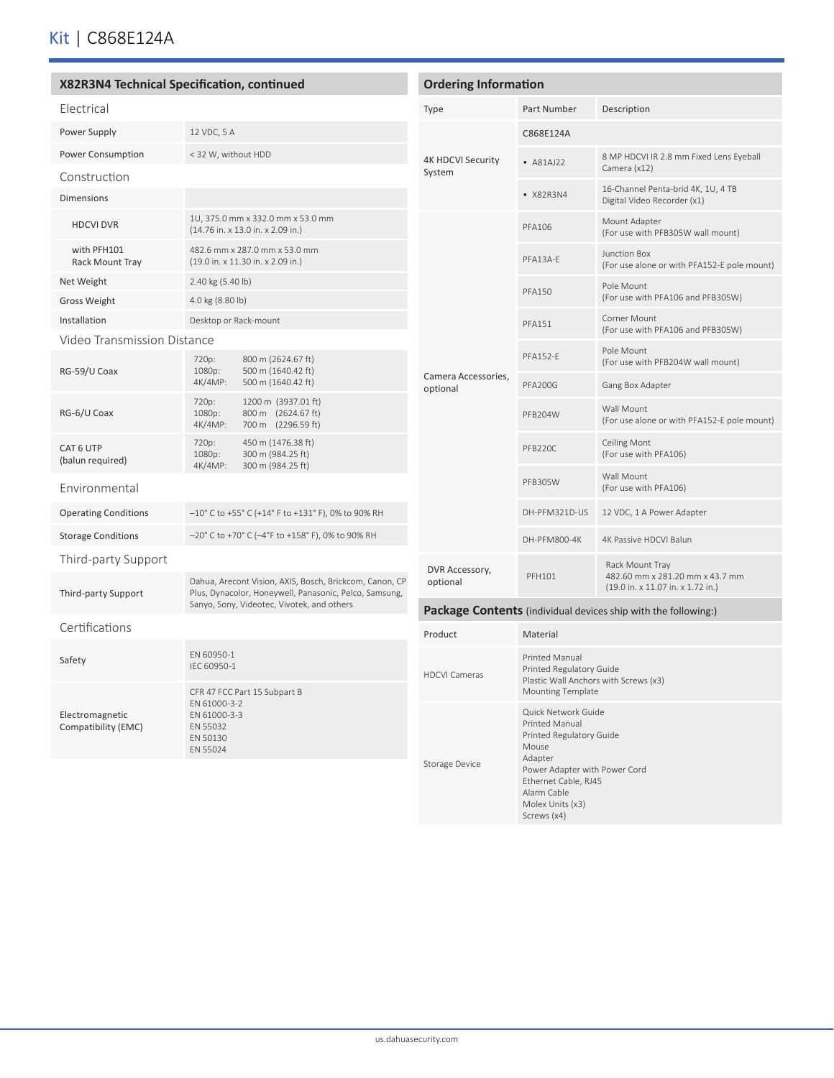|                                                                                                            | X82R3N4 Technical Specification, continued                                                                        | <b>Ordering Information</b>                                    |                                                                                                                 |                                                                      |
|------------------------------------------------------------------------------------------------------------|-------------------------------------------------------------------------------------------------------------------|----------------------------------------------------------------|-----------------------------------------------------------------------------------------------------------------|----------------------------------------------------------------------|
| Electrical                                                                                                 |                                                                                                                   | Type                                                           | Part Number                                                                                                     | Description                                                          |
| Power Supply                                                                                               | 12 VDC, 5 A                                                                                                       |                                                                | C868E124A                                                                                                       |                                                                      |
| <b>Power Consumption</b>                                                                                   | < 32 W, without HDD                                                                                               | <b>4K HDCVI Security</b><br>System                             | $-$ A81AJ22                                                                                                     | 8 MP HDCVI IR 2.8 mm Fixed Lens Eyeball<br>Camera (x12)              |
| Construction<br><b>Dimensions</b>                                                                          |                                                                                                                   |                                                                | • X82R3N4                                                                                                       | 16-Channel Penta-brid 4K, 1U, 4 TB<br>Digital Video Recorder (x1)    |
| <b>HDCVI DVR</b>                                                                                           | 1U, 375.0 mm x 332.0 mm x 53.0 mm<br>(14.76 in. x 13.0 in. x 2.09 in.)                                            |                                                                | <b>PFA106</b>                                                                                                   | Mount Adapter<br>(For use with PFB305W wall mount)                   |
| with PFH101<br><b>Rack Mount Tray</b>                                                                      | 482.6 mm x 287.0 mm x 53.0 mm<br>(19.0 in. x 11.30 in. x 2.09 in.)                                                |                                                                | PFA13A-E                                                                                                        | Junction Box<br>(For use alone or with PFA152-E pole mount)          |
| Net Weight                                                                                                 | 2.40 kg (5.40 lb)                                                                                                 |                                                                |                                                                                                                 | Pole Mount                                                           |
| Gross Weight                                                                                               | 4.0 kg (8.80 lb)                                                                                                  |                                                                | <b>PFA150</b>                                                                                                   | (For use with PFA106 and PFB305W)                                    |
| Installation                                                                                               | Desktop or Rack-mount                                                                                             |                                                                | <b>PFA151</b>                                                                                                   | Corner Mount<br>(For use with PFA106 and PFB305W)                    |
| Video Transmission Distance                                                                                | 720p:<br>800 m (2624.67 ft)                                                                                       |                                                                | <b>PFA152-E</b>                                                                                                 | Pole Mount<br>(For use with PFB204W wall mount)                      |
| RG-59/U Coax                                                                                               | 1080p:<br>500 m (1640.42 ft)<br>4K/4MP:<br>500 m (1640.42 ft)                                                     | Camera Accessories,<br>optional                                | <b>PFA200G</b>                                                                                                  | Gang Box Adapter                                                     |
| RG-6/U Coax                                                                                                | 720p:<br>1200 m (3937.01 ft)<br>1080p:<br>800 m (2624.67 ft)<br>4K/4MP:<br>700 m (2296.59 ft)                     |                                                                | PFB204W                                                                                                         | Wall Mount<br>(For use alone or with PFA152-E pole mount)            |
| CAT 6 UTP<br>(balun required)                                                                              | 720p:<br>450 m (1476.38 ft)<br>300 m (984.25 ft)<br>1080p:<br>4K/4MP:<br>300 m (984.25 ft)                        |                                                                | PFB220C                                                                                                         | Ceiling Mont<br>(For use with PFA106)                                |
| Environmental                                                                                              |                                                                                                                   |                                                                | PFB305W                                                                                                         | Wall Mount<br>(For use with PFA106)                                  |
| <b>Operating Conditions</b>                                                                                | $-10^{\circ}$ C to +55° C (+14° F to +131° F), 0% to 90% RH                                                       |                                                                | DH-PFM321D-US                                                                                                   | 12 VDC, 1 A Power Adapter                                            |
| <b>Storage Conditions</b>                                                                                  | $-20^{\circ}$ C to +70° C (-4°F to +158° F), 0% to 90% RH                                                         |                                                                | DH-PFM800-4K                                                                                                    | 4K Passive HDCVI Balun                                               |
| Third-party Support                                                                                        |                                                                                                                   | DVR Accessory,                                                 |                                                                                                                 | Rack Mount Tray                                                      |
| Third-party Support                                                                                        | Dahua, Arecont Vision, AXIS, Bosch, Brickcom, Canon, CP<br>Plus, Dynacolor, Honeywell, Panasonic, Pelco, Samsung, | optional                                                       | <b>PFH101</b>                                                                                                   | 482.60 mm x 281.20 mm x 43.7 mm<br>(19.0 in. x 11.07 in. x 1.72 in.) |
| Sanyo, Sony, Videotec, Vivotek, and others                                                                 |                                                                                                                   | Package Contents (individual devices ship with the following:) |                                                                                                                 |                                                                      |
| Certifications                                                                                             |                                                                                                                   | Product                                                        | Material                                                                                                        |                                                                      |
| Safety                                                                                                     | EN 60950-1<br>IEC 60950-1<br>CFR 47 FCC Part 15 Subpart B                                                         | <b>HDCVI Cameras</b>                                           | <b>Printed Manual</b><br>Printed Regulatory Guide<br>Plastic Wall Anchors with Screws (x3)<br>Mounting Template |                                                                      |
| EN 61000-3-2<br>Electromagnetic<br>EN 61000-3-3<br>Compatibility (EMC)<br>EN 55032<br>EN 50130<br>EN 55024 |                                                                                                                   | Storage Device                                                 | Quick Network Guide<br>Printed Manual<br>Printed Regulatory Guide<br>Mouse<br>Adapter                           |                                                                      |
|                                                                                                            |                                                                                                                   |                                                                | Power Adapter with Power Cord<br>Ethernet Cable, RJ45<br>Alarm Cable                                            |                                                                      |

Molex Units (x3) Screws (x4)